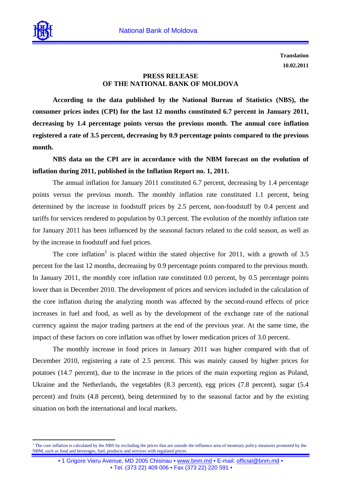

 $\overline{a}$ 

**Translation 10.02.2011**

## **PRESS RELEASE OF THE NATIONAL BANK OF MOLDOVA**

**According to the data published by the National Bureau of Statistics (NBS), the consumer prices index (CPI) for the last 12 months constituted 6.7 percent in January 2011, decreasing by 1.4 percentage points versus the previous month. The annual core inflation registered a rate of 3.5 percent, decreasing by 0.9 percentage points compared to the previous month.** 

**NBS data on the CPI are in accordance with the NBM forecast on the evolution of inflation during 2011, published in the Inflation Report no. 1, 2011.** 

 The annual inflation for January 2011 constituted 6.7 percent, decreasing by 1.4 percentage points versus the previous month. The monthly inflation rate constituted 1.1 percent, being determined by the increase in foodstuff prices by 2.5 percent, non-foodstuff by 0.4 percent and tariffs for services rendered to population by 0.3 percent. The evolution of the monthly inflation rate for January 2011 has been influenced by the seasonal factors related to the cold season, as well as by the increase in foodstuff and fuel prices.

The core inflation<sup>1</sup> is placed within the stated objective for 2011, with a growth of 3.5 percent for the last 12 months, decreasing by 0.9 percentage points compared to the previous month. In January 2011, the monthly core inflation rate constituted 0.0 percent, by 0.5 percentage points lower than in December 2010. The development of prices and services included in the calculation of the core inflation during the analyzing month was affected by the second-round effects of price increases in fuel and food, as well as by the development of the exchange rate of the national currency against the major trading partners at the end of the previous year. At the same time, the impact of these factors on core inflation was offset by lower medication prices of 3.0 percent.

The monthly increase in food prices in January 2011 was higher compared with that of December 2010, registering a rate of 2.5 percent. This was mainly caused by higher prices for potatoes (14.7 percent), due to the increase in the prices of the main exporting region as Poland, Ukraine and the Netherlands, the vegetables (8.3 percent), egg prices (7.8 percent), sugar (5.4 percent) and fruits (4.8 percent), being determined by to the seasonal factor and by the existing situation on both the international and local markets.

<sup>&</sup>lt;sup>1</sup> The core inflation is calculated by the NBS by excluding the prices that are outside the influence area of monetary policy measures promoted by the NBM, such as food and beverages, fuel, products and services with regulated prices.